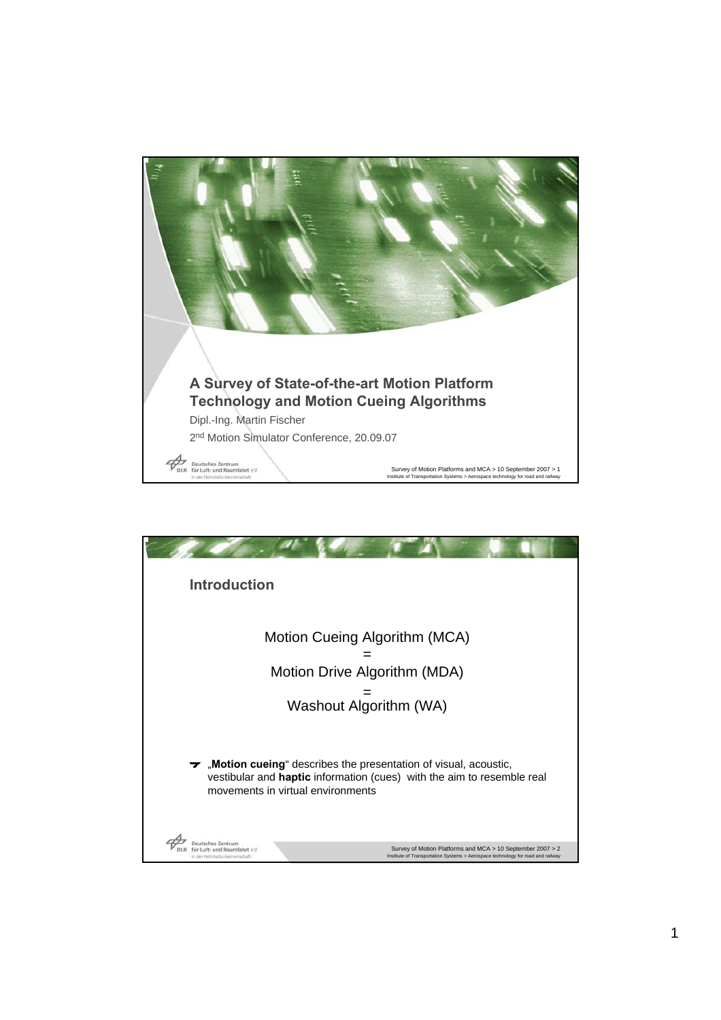

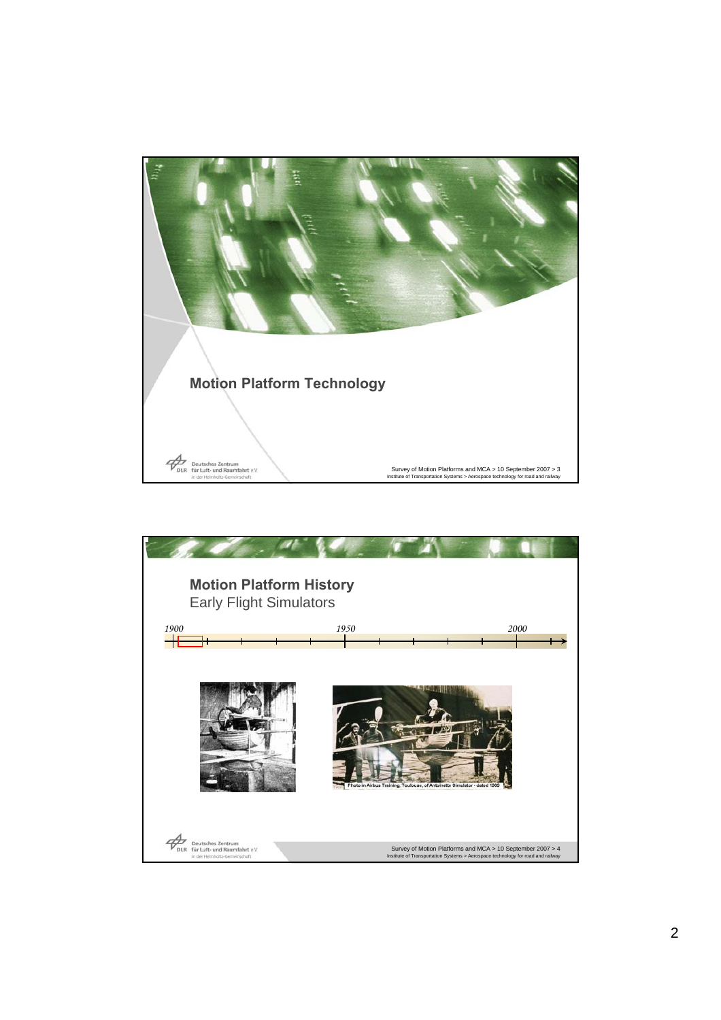

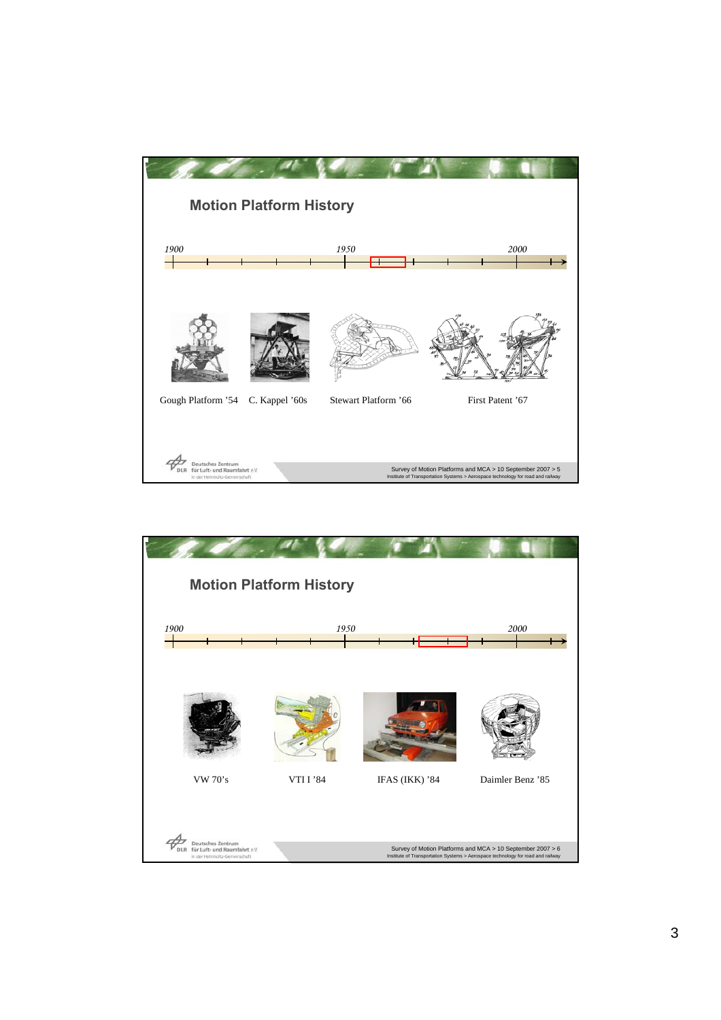

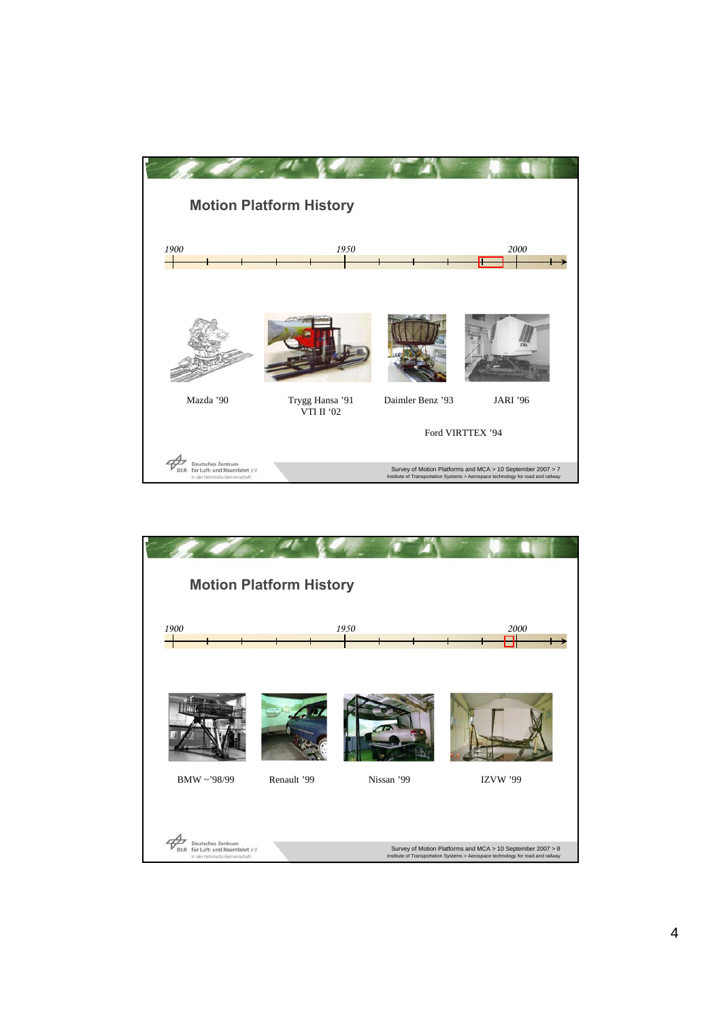

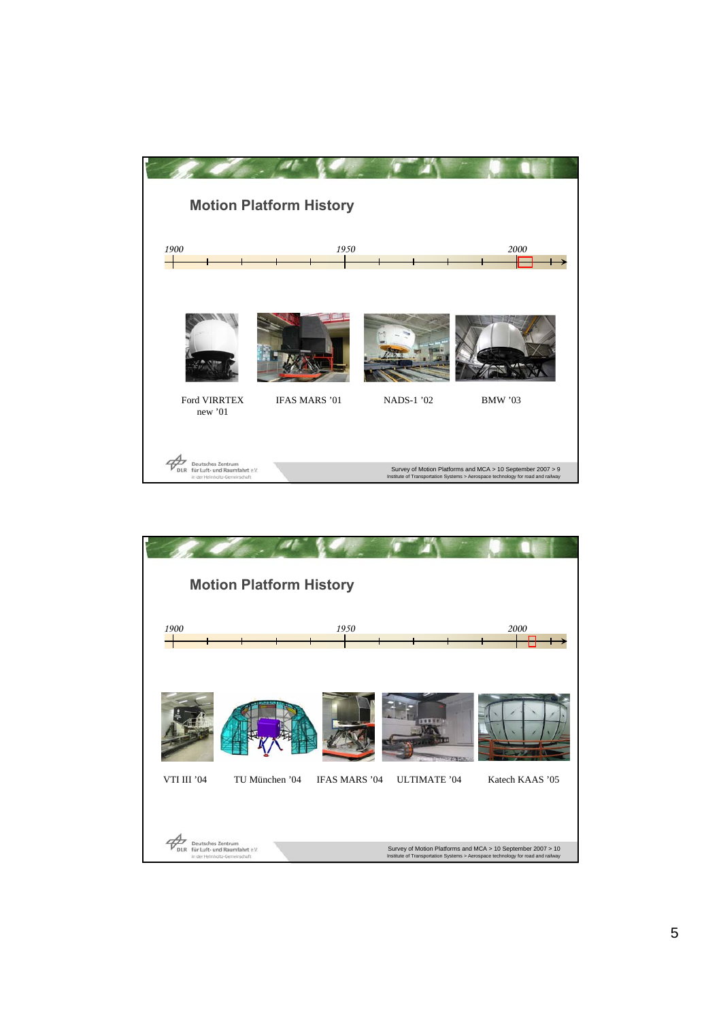

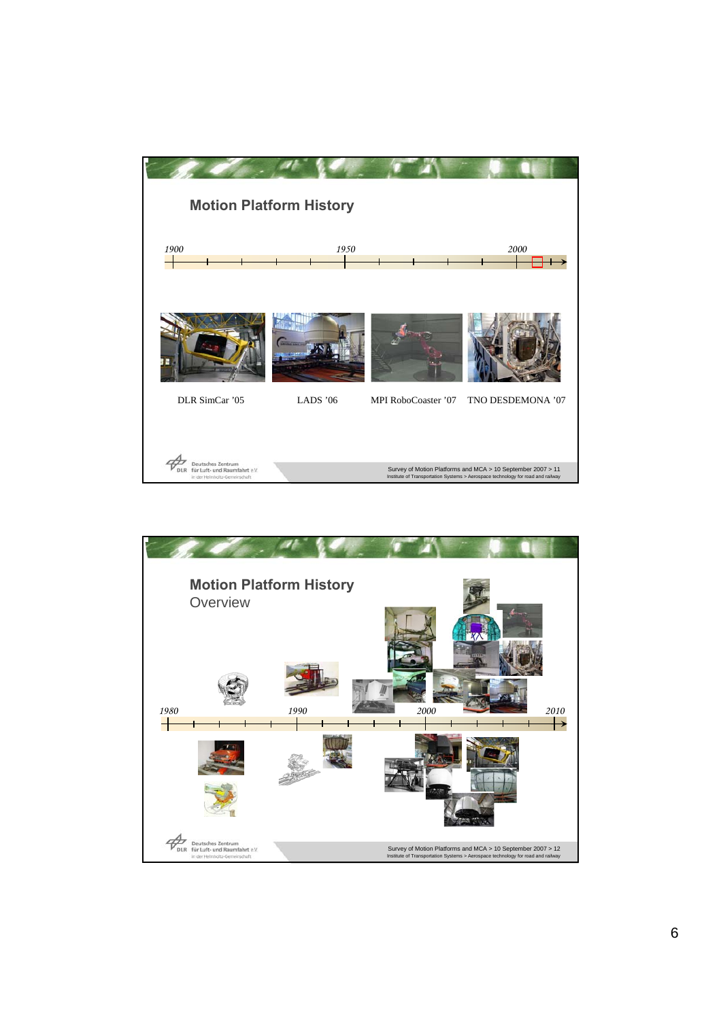

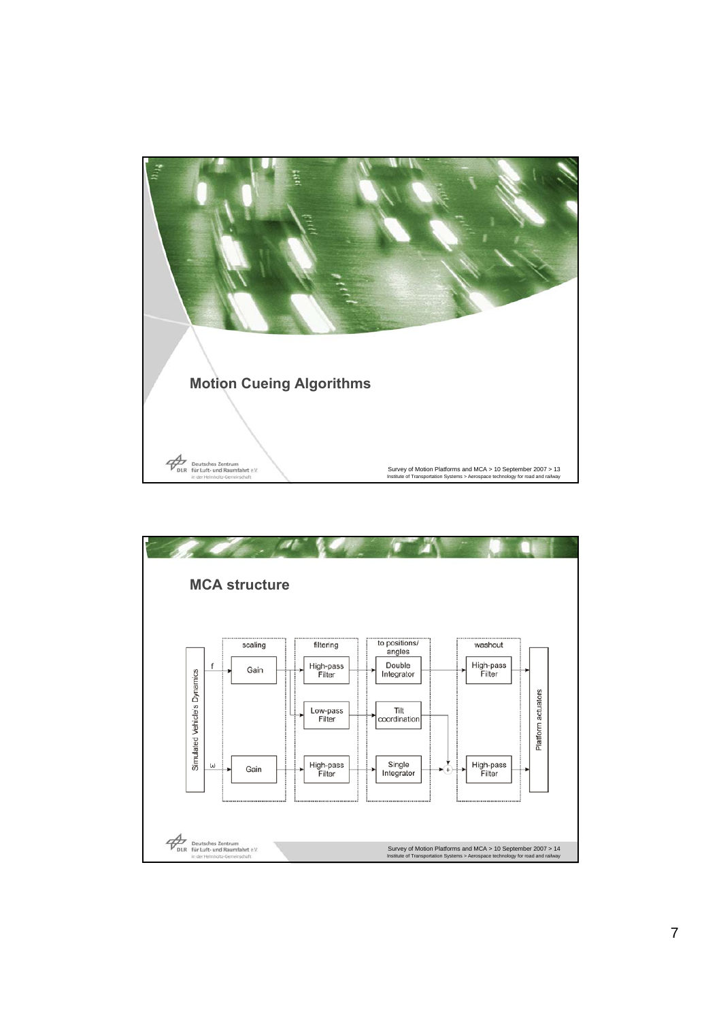

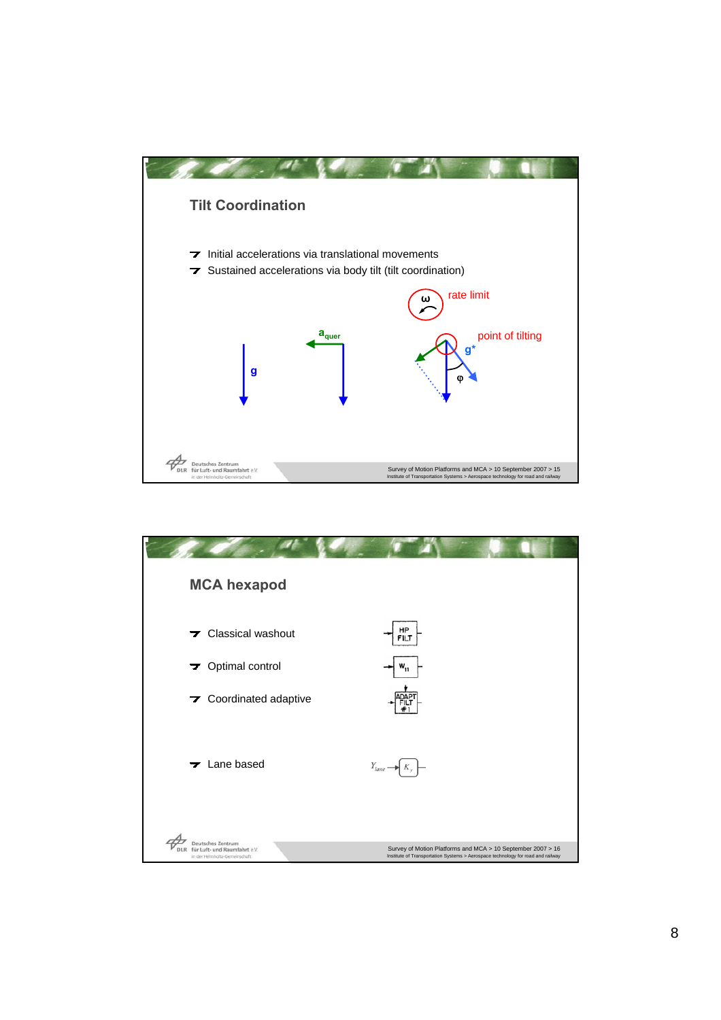

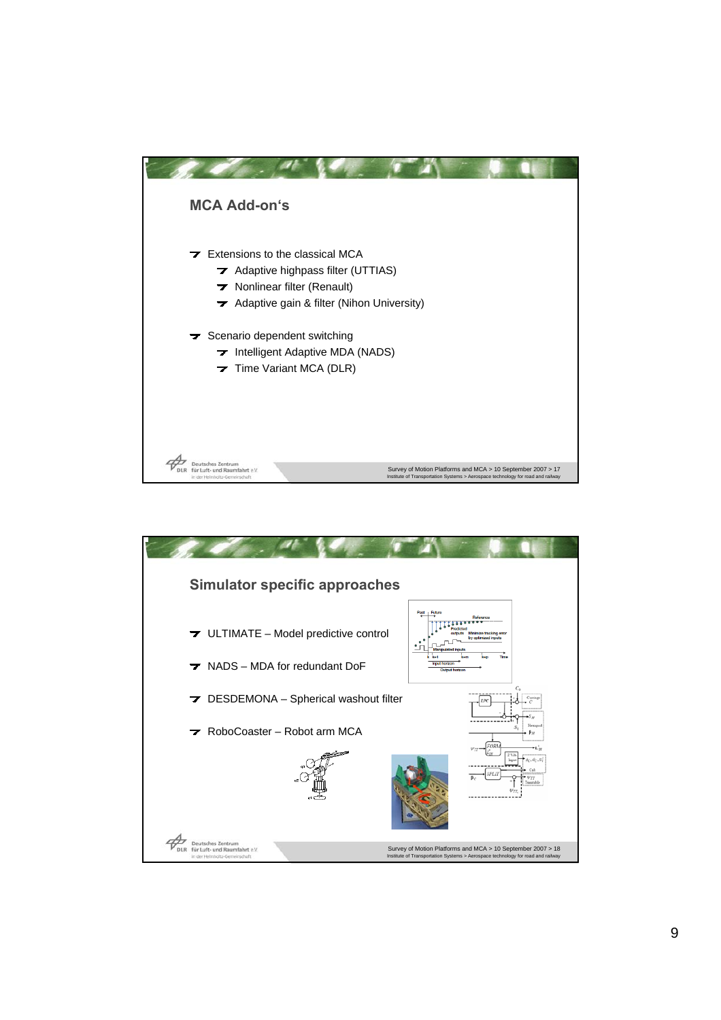

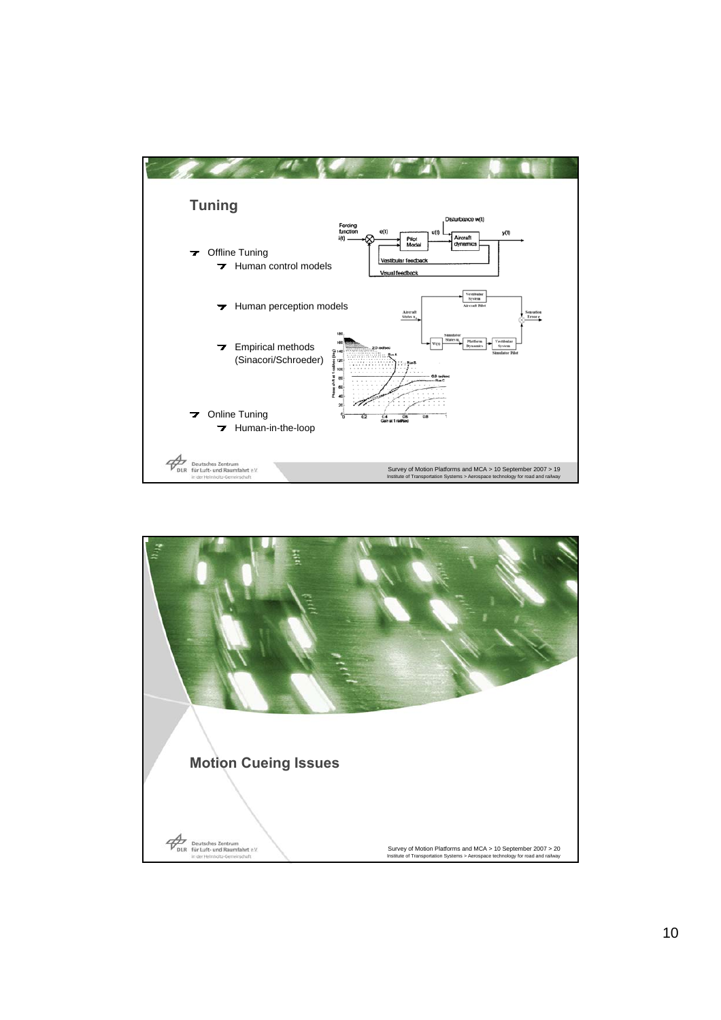

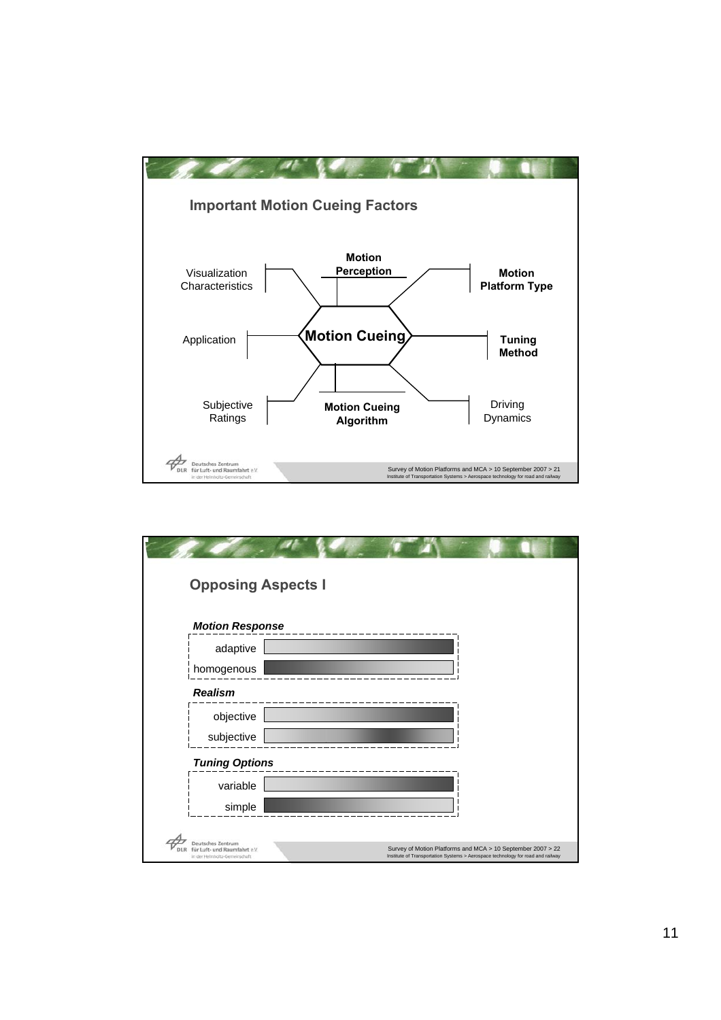

|                                                               | <b>Opposing Aspects I</b> |                                                                                                                                                |  |  |
|---------------------------------------------------------------|---------------------------|------------------------------------------------------------------------------------------------------------------------------------------------|--|--|
| <b>Motion Response</b>                                        |                           |                                                                                                                                                |  |  |
| adaptive                                                      |                           |                                                                                                                                                |  |  |
| homogenous                                                    |                           |                                                                                                                                                |  |  |
| <b>Realism</b>                                                |                           |                                                                                                                                                |  |  |
| objective                                                     |                           |                                                                                                                                                |  |  |
| subjective                                                    |                           |                                                                                                                                                |  |  |
| <b>Tuning Options</b>                                         |                           |                                                                                                                                                |  |  |
| variable                                                      |                           |                                                                                                                                                |  |  |
| simple                                                        |                           |                                                                                                                                                |  |  |
| <b>Deutsches Zentrum</b>                                      |                           |                                                                                                                                                |  |  |
| für Luft- und Raumfahrt e.V.<br>in der Helmholtz-Gemeinschaft |                           | Survey of Motion Platforms and MCA > 10 September 2007 > 22<br>Institute of Transportation Systems > Aerospace technology for road and railway |  |  |